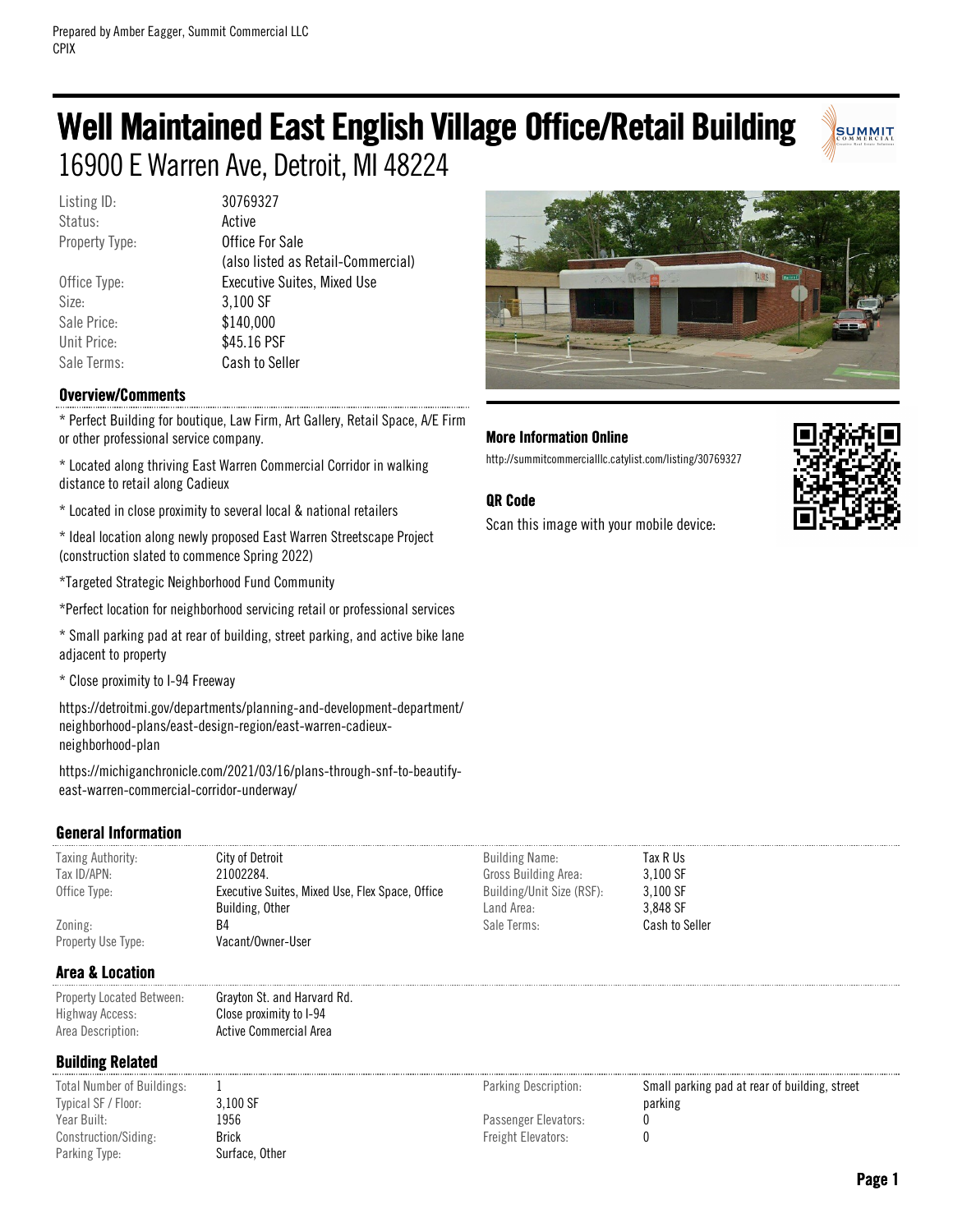# Well Maintained East English Village Office/Retail Building 16900 E Warren Ave, Detroit, MI 48224

Listing ID: 30769327 Status: **Active** 

Size: 3,100 SF Sale Price: \$140,000 Unit Price: \$45.16 PSF

Property Type: **Office For Sale** (also listed as Retail-Commercial) Office Type: Executive Suites, Mixed Use Sale Terms: Cash to Seller

### Overview/Comments

\* Perfect Building for boutique, Law Firm, Art Gallery, Retail Space, A/E Firm or other professional service company.

\* Located along thriving East Warren Commercial Corridor in walking distance to retail along Cadieux

\* Located in close proximity to several local & national retailers

\* Ideal location along newly proposed East Warren Streetscape Project (construction slated to commence Spring 2022)

\*Targeted Strategic Neighborhood Fund Community

\*Perfect location for neighborhood servicing retail or professional services

\* Small parking pad at rear of building, street parking, and active bike lane adjacent to property

\* Close proximity to I-94 Freeway

https://detroitmi.gov/departments/planning-and-development-department/ neighborhood-plans/east-design-region/east-warren-cadieuxneighborhood-plan

https://michiganchronicle.com/2021/03/16/plans-through-snf-to-beautifyeast-warren-commercial-corridor-underway/

### General Information

| <b>Taxing Authority:</b> | City of Detroit                                 | <b>Building Name:</b>     | Tax R Us              |
|--------------------------|-------------------------------------------------|---------------------------|-----------------------|
| Tax ID/APN:              | 21002284.                                       | Gross Building Area:      | 3.100 SF              |
| Office Type:             | Executive Suites, Mixed Use, Flex Space, Office | Building/Unit Size (RSF): | 3.100 SF              |
|                          | Building, Other                                 | Land Area:                | 3.848 SF              |
| Zoning:                  | B4                                              | Sale Terms:               | <b>Cash to Seller</b> |
| Property Use Type:       | Vacant/Owner-User                               |                           |                       |

### Area & Location

| Property Located Between: | Grayton St. and Harvard Rd. |
|---------------------------|-----------------------------|
| Highway Access:           | Close proximity to I-94     |
| Area Description:         | Active Commercial Area      |

### Building Related

Total Number of Buildings: 1 Typical SF / Floor: 3,100 SF Year Built: 1956 Construction/Siding: Brick Parking Type: Surface, Other

Passenger Elevators: 0

Freight Elevators: 0

Parking Description: Small parking pad at rear of building, street parking



### More Information Online

http://summitcommercialllc.catylist.com/listing/30769327

### QR Code

Scan this image with your mobile device:



SUMMIT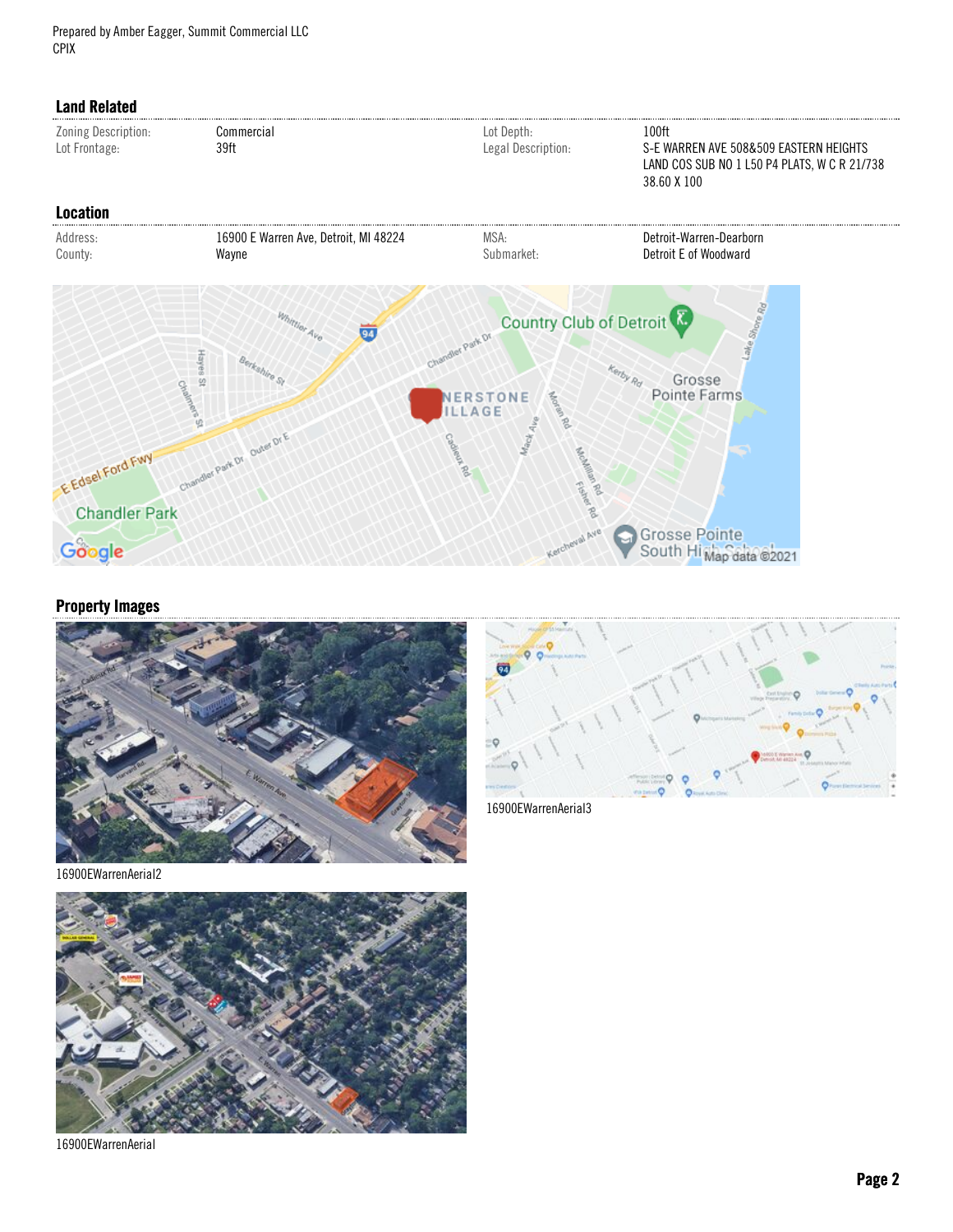Prepared by Amber Eagger, Summit Commercial LLC CPIX



### Property Images





16900EWarrenAerial2



16900EWarrenAerial

Page 2